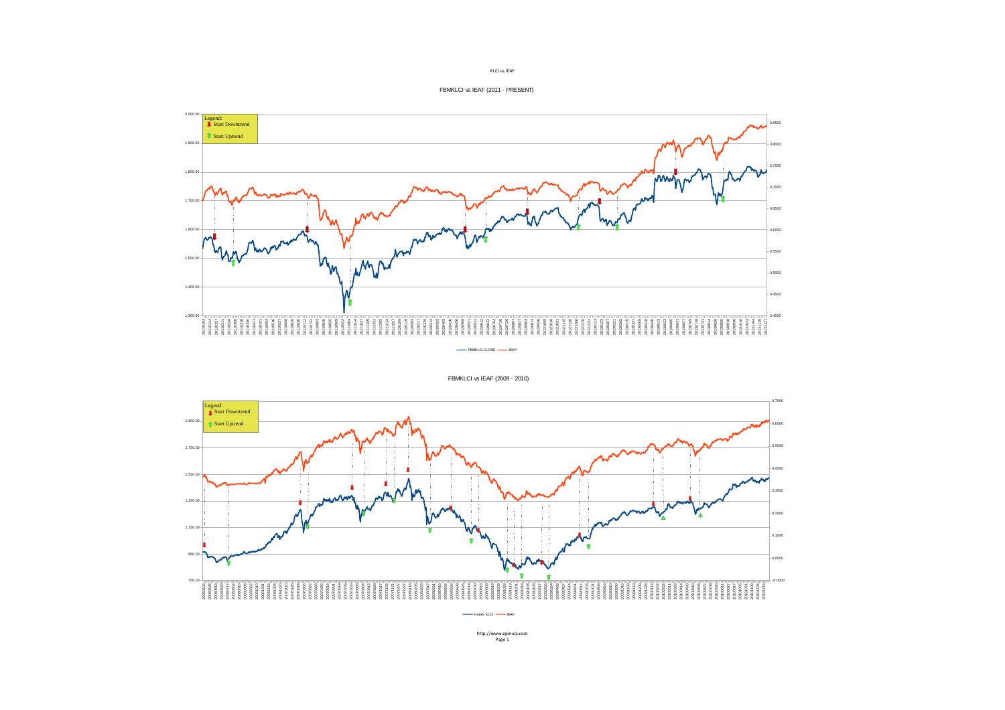



FBMKLCI vs IEAF (2009 - 2010)



KLCI vs IEAF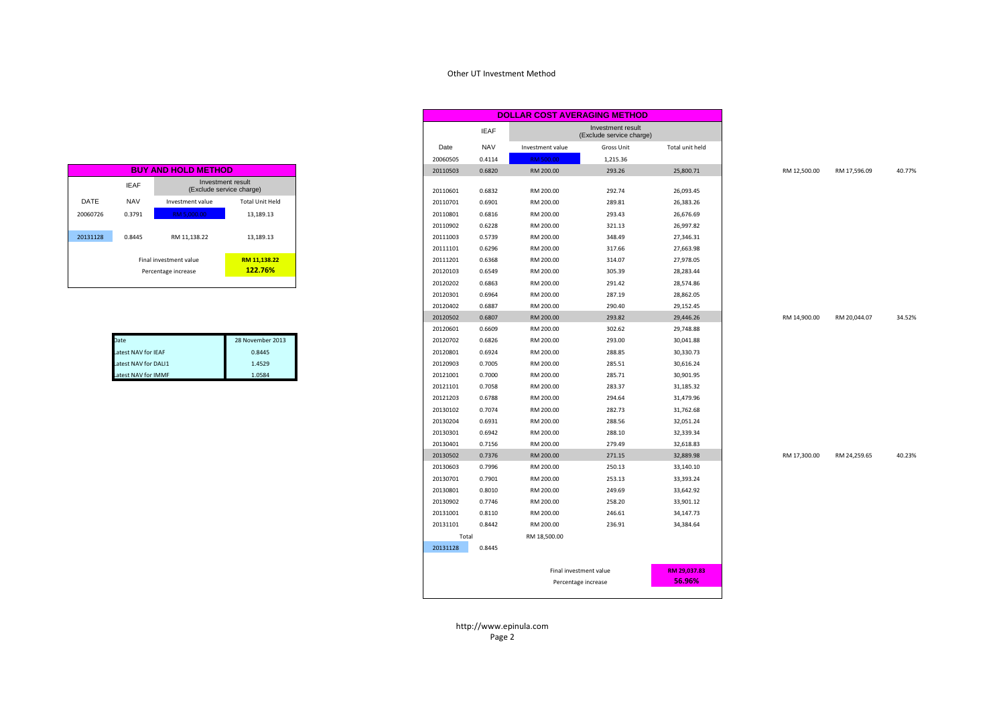## Other UT Investment Method

| <b>BUY AND HOLD METHOD</b> |                                |                                               |                        |  |  |  |  |  |  |
|----------------------------|--------------------------------|-----------------------------------------------|------------------------|--|--|--|--|--|--|
|                            | <b>IEAF</b>                    | Investment result<br>(Exclude service charge) |                        |  |  |  |  |  |  |
| DATE                       | <b>NAV</b><br>Investment value |                                               | <b>Total Unit Held</b> |  |  |  |  |  |  |
| 20060726                   | 0.3791                         | RM 5,000.00                                   | 13,189.13              |  |  |  |  |  |  |
| 20131128                   | 0.8445                         | RM 11,138.22                                  | 13.189.13              |  |  |  |  |  |  |
|                            | RM 11.138.22                   |                                               |                        |  |  |  |  |  |  |
|                            | 122.76%                        |                                               |                        |  |  |  |  |  |  |

| Date                 | 28 November 2013 |
|----------------------|------------------|
| Latest NAV for IEAF  | 0.8445           |
| Latest NAV for DALI1 | 1.4529           |
| Latest NAV for IMMF  | 1.0584           |

| <b>BUY AND HOLD METHOD</b> |                        |                                               |
|----------------------------|------------------------|-----------------------------------------------|
|                            |                        | Investment result<br>(Exclude service charge) |
|                            | Investment value       | Total Unit Held                               |
|                            | RM 5.000.00            | 13,189.13                                     |
|                            |                        |                                               |
|                            | RM 11,138.22           | 13,189.13                                     |
|                            |                        |                                               |
|                            | Final investment value | RM 11,138.22                                  |
|                            | Percentage increase    | 122.76%                                       |
|                            |                        |                                               |
|                            |                        |                                               |
|                            |                        |                                               |
|                            |                        |                                               |
|                            |                        |                                               |
|                            |                        | 28 November 2013                              |
|                            | est NAV for IEAF       | 0.8445                                        |
|                            | est NAV for DALI1      | 1.4529                                        |
|                            | est NAV for IMMF       | 1.0584                                        |
|                            |                        |                                               |
|                            |                        |                                               |
|                            |                        |                                               |
|                            |                        |                                               |
|                            |                        |                                               |
|                            |                        |                                               |
|                            |                        |                                               |
|                            |                        |                                               |
|                            |                        |                                               |
|                            |                        |                                               |
|                            |                        |                                               |
|                            |                        |                                               |
|                            |                        |                                               |
|                            |                        |                                               |
|                            |                        |                                               |
|                            |                        |                                               |
|                            |                        |                                               |
|                            |                        |                                               |

http://www.epinula.comPage 2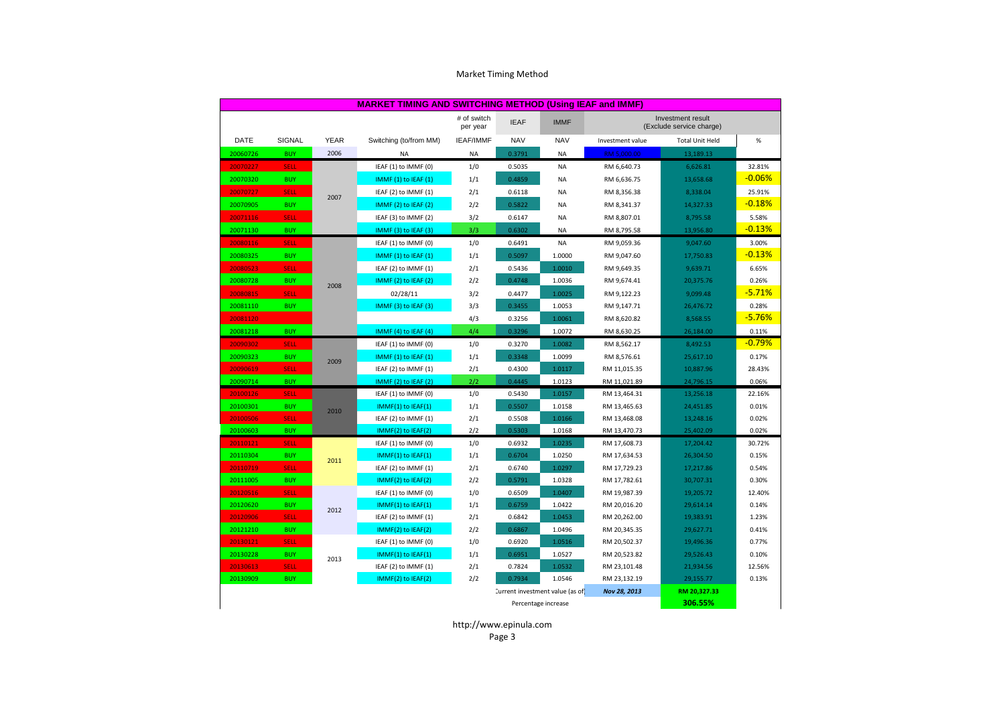| <b>MARKET TIMING AND SWITCHING METHOD (Using IEAF and IMMF)</b> |                                                 |             |                        |                         |             |             |                                               |                        |          |
|-----------------------------------------------------------------|-------------------------------------------------|-------------|------------------------|-------------------------|-------------|-------------|-----------------------------------------------|------------------------|----------|
|                                                                 |                                                 |             |                        | # of switch<br>per year | <b>IEAF</b> | <b>IMMF</b> | Investment result<br>(Exclude service charge) |                        |          |
| <b>DATE</b>                                                     | SIGNAL                                          | <b>YEAR</b> | Switching (to/from MM) | <b>IEAF/IMMF</b>        | <b>NAV</b>  | <b>NAV</b>  | Investment value                              | <b>Total Unit Held</b> | $\%$     |
| 20060726                                                        | <b>BUY</b>                                      | 2006        | NA                     | <b>NA</b>               | 0.3791      | <b>NA</b>   | RM 5,000.00                                   | 13,189.13              |          |
| 20070227                                                        | <b>SELL</b>                                     |             | IEAF (1) to IMMF (0)   | 1/0                     | 0.5035      | <b>NA</b>   | RM 6,640.73                                   | 6,626.81               | 32.81%   |
| 20070320                                                        | <b>BUY</b>                                      |             | IMMF (1) to IEAF (1)   | 1/1                     | 0.4859      | <b>NA</b>   | RM 6,636.75                                   | 13,658.68              | $-0.06%$ |
| 20070727                                                        | <b>SELL</b>                                     | 2007        | IEAF (2) to IMMF (1)   | 2/1                     | 0.6118      | <b>NA</b>   | RM 8,356.38                                   | 8,338.04               | 25.91%   |
| 20070905                                                        | <b>BUY</b>                                      |             | IMMF (2) to IEAF (2)   | 2/2                     | 0.5822      | NA          | RM 8,341.37                                   | 14,327.33              | $-0.18%$ |
| 20071116                                                        | <b>SELL</b>                                     |             | IEAF (3) to IMMF (2)   | 3/2                     | 0.6147      | NA          | RM 8,807.01                                   | 8,795.58               | 5.58%    |
| 20071130                                                        | <b>BUY</b>                                      |             | IMMF (3) to IEAF (3)   | 3/3                     | 0.6302      | <b>NA</b>   | RM 8,795.58                                   | 13,956.80              | $-0.13%$ |
| 20080116                                                        | <b>SELL</b>                                     |             | IEAF (1) to IMMF (0)   | 1/0                     | 0.6491      | <b>NA</b>   | RM 9,059.36                                   | 9,047.60               | 3.00%    |
| 20080325                                                        | <b>BUY</b>                                      |             | IMMF (1) to IEAF (1)   | 1/1                     | 0.5097      | 1.0000      | RM 9,047.60                                   | 17,750.83              | $-0.13%$ |
| 20080523                                                        | <b>SELL</b>                                     |             | IEAF (2) to IMMF (1)   | 2/1                     | 0.5436      | 1.0010      | RM 9,649.35                                   | 9,639.71               | 6.65%    |
| 20080728                                                        | <b>BUY</b>                                      | 2008        | IMMF (2) to IEAF (2)   | 2/2                     | 0.4748      | 1.0036      | RM 9,674.41                                   | 20,375.76              | 0.26%    |
| 20080815                                                        | <b>SELL</b>                                     |             | 02/28/11               | 3/2                     | 0.4477      | 1.0025      | RM 9,122.23                                   | 9,099.48               | $-5.71%$ |
| 20081110                                                        | <b>BUY</b>                                      |             | IMMF (3) to IEAF (3)   | 3/3                     | 0.3455      | 1.0053      | RM 9,147.71                                   | 26,476.72              | 0.28%    |
| 20081120                                                        |                                                 |             |                        | 4/3                     | 0.3256      | 1.0061      | RM 8,620.82                                   | 8,568.55               | $-5.76%$ |
| 20081218                                                        | <b>BUY</b>                                      |             | IMMF (4) to IEAF (4)   | 4/4                     | 0.3296      | 1.0072      | RM 8,630.25                                   | 26,184.00              | 0.11%    |
| 20090302                                                        | <b>SELL</b>                                     |             | IEAF (1) to IMMF (0)   | 1/0                     | 0.3270      | 1.0082      | RM 8,562.17                                   | 8,492.53               | $-0.79%$ |
| 20090323                                                        | <b>BUY</b>                                      | 2009        | IMMF (1) to IEAF (1)   | 1/1                     | 0.3348      | 1.0099      | RM 8,576.61                                   | 25,617.10              | 0.17%    |
| 20090619                                                        | <b>SELL</b>                                     |             | IEAF (2) to IMMF (1)   | 2/1                     | 0.4300      | 1.0117      | RM 11,015.35                                  | 10,887.96              | 28.43%   |
| 20090714                                                        | <b>BUY</b>                                      |             | IMMF (2) to IEAF (2)   | 2/2                     | 0.4445      | 1.0123      | RM 11,021.89                                  | 24,796.15              | 0.06%    |
| 20100126                                                        | <b>SELL</b>                                     |             | IEAF (1) to IMMF (0)   | 1/0                     | 0.5430      | 1.0157      | RM 13,464.31                                  | 13,256.18              | 22.16%   |
| 20100301                                                        | <b>BUY</b>                                      | 2010        | IMMF(1) to IEAF(1)     | 1/1                     | 0.5507      | 1.0158      | RM 13,465.63                                  | 24,451.85              | 0.01%    |
| 20100506                                                        | <b>SELL</b>                                     |             | IEAF (2) to IMMF (1)   | 2/1                     | 0.5508      | 1.0166      | RM 13,468.08                                  | 13,248.16              | 0.02%    |
| 20100603                                                        | <b>BUY</b>                                      |             | IMMF(2) to IEAF(2)     | 2/2                     | 0.5303      | 1.0168      | RM 13,470.73                                  | 25,402.09              | 0.02%    |
| 20110121                                                        | <b>SELL</b>                                     |             | IEAF (1) to IMMF (0)   | 1/0                     | 0.6932      | 1.0235      | RM 17,608.73                                  | 17,204.42              | 30.72%   |
| 20110304                                                        | <b>BUY</b>                                      | 2011        | IMMF(1) to IEAF(1)     | 1/1                     | 0.6704      | 1.0250      | RM 17,634.53                                  | 26,304.50              | 0.15%    |
| 20110719                                                        | <b>SELL</b>                                     |             | IEAF (2) to IMMF (1)   | 2/1                     | 0.6740      | 1.0297      | RM 17,729.23                                  | 17,217.86              | 0.54%    |
| 20111005                                                        | <b>BUY</b>                                      |             | IMMF(2) to IEAF(2)     | 2/2                     | 0.5791      | 1.0328      | RM 17,782.61                                  | 30,707.31              | 0.30%    |
| 20120516                                                        | <b>SELL</b>                                     |             | IEAF (1) to IMMF (0)   | 1/0                     | 0.6509      | 1.0407      | RM 19,987.39                                  | 19,205.72              | 12.40%   |
| 20120620                                                        | <b>BUY</b>                                      | 2012        | IMMF(1) to IEAF(1)     | 1/1                     | 0.6759      | 1.0422      | RM 20,016.20                                  | 29,614.14              | 0.14%    |
| 20120906                                                        | <b>SELL</b>                                     |             | IEAF (2) to IMMF (1)   | 2/1                     | 0.6842      | 1.0453      | RM 20,262.00                                  | 19,383.91              | 1.23%    |
| 20121210                                                        | <b>BUY</b>                                      |             | IMMF(2) to IEAF(2)     | 2/2                     | 0.6867      | 1.0496      | RM 20,345.35                                  | 29,627.71              | 0.41%    |
| 20130121                                                        | <b>SELL</b>                                     |             | IEAF (1) to IMMF (0)   | 1/0                     | 0.6920      | 1.0516      | RM 20,502.37                                  | 19,496.36              | 0.77%    |
| 20130228                                                        | <b>BUY</b>                                      | 2013        | IMMF(1) to IEAF(1)     | 1/1                     | 0.6951      | 1.0527      | RM 20,523.82                                  | 29,526.43              | 0.10%    |
| 20130613                                                        | <b>SELL</b>                                     |             | IEAF (2) to IMMF (1)   | 2/1                     | 0.7824      | 1.0532      | RM 23,101.48                                  | 21,934.56              | 12.56%   |
| 20130909                                                        | <b>BUY</b>                                      |             | IMMF(2) to IEAF(2)     | 2/2                     | 0.7934      | 1.0546      | RM 23,132.19                                  | 29,155.77              | 0.13%    |
|                                                                 | Current investment value (as of<br>Nov 28, 2013 |             |                        |                         |             |             |                                               | RM 20,327.33           |          |
|                                                                 | Percentage increase                             |             |                        |                         |             |             | 306.55%                                       |                        |          |

## Market Timing Method

http://www.epinula.comPage 3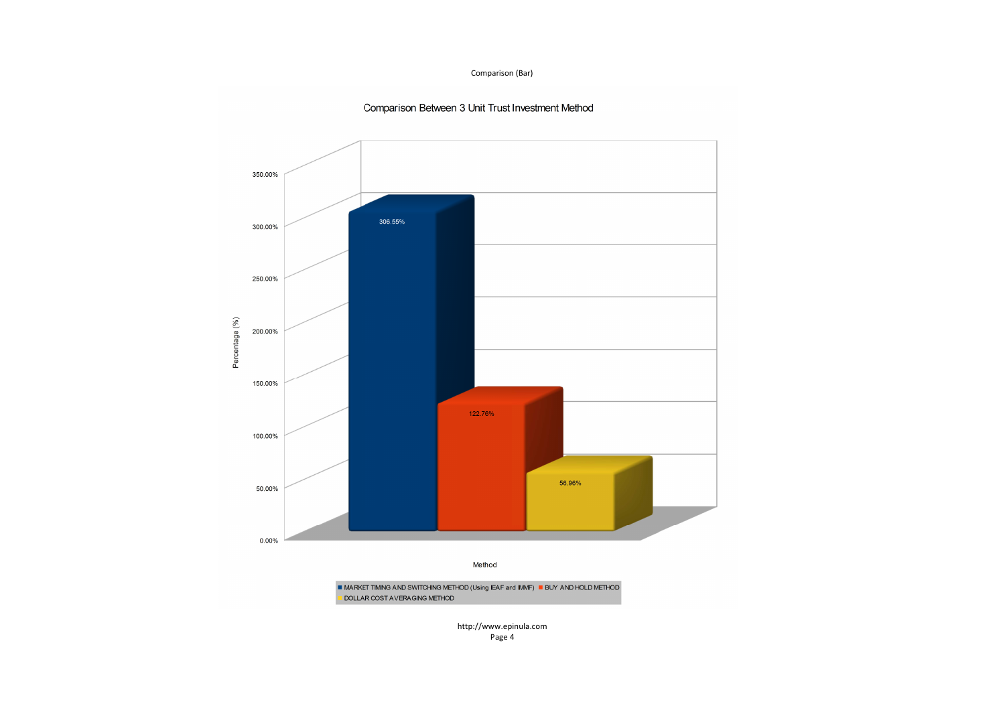## Comparison (Bar)



## Comparison Between 3 Unit Trust Investment Method

http://www.epinula.comPage 4